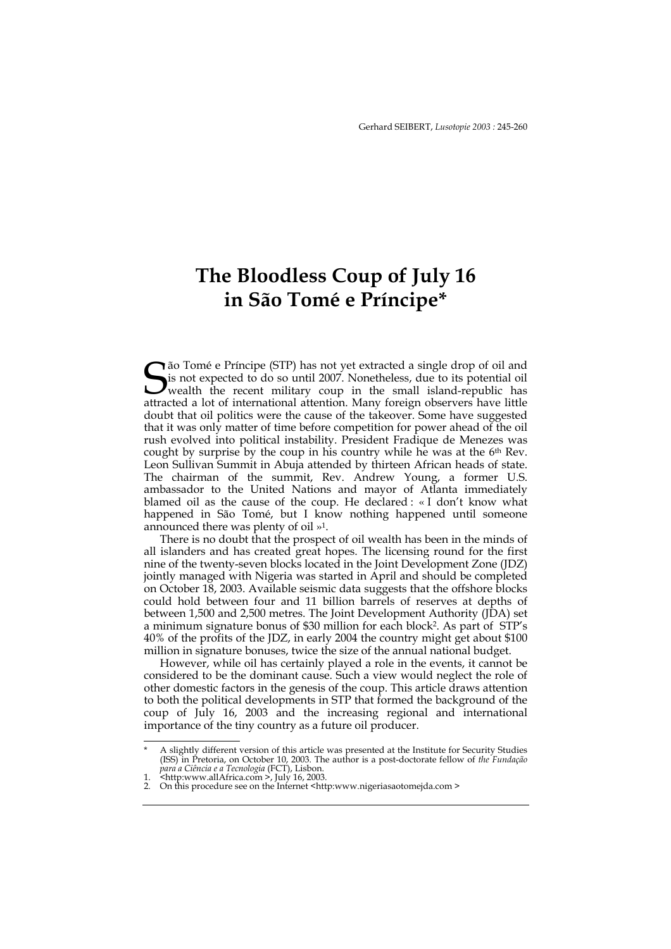# **The Bloodless Coup of July 16 in São Tomé e Príncipe\***

Gão Tomé e Príncipe (STP) has not yet extracted a single drop of oil and is not expected to do so until 2007. Nonetheless, due to its potential oil wealth the recent military coup in the small island-republic has attracted is not expected to do so until 2007. Nonetheless, due to its potential oil **J** wealth the recent military coup in the small island-republic has attracted a lot of international attention. Many foreign observers have little doubt that oil politics were the cause of the takeover. Some have suggested that it was only matter of time before competition for power ahead of the oil rush evolved into political instability. President Fradique de Menezes was cought by surprise by the coup in his country while he was at the  $6<sup>th</sup>$  Rev. Leon Sullivan Summit in Abuja attended by thirteen African heads of state. The chairman of the summit, Rev. Andrew Young, a former U.S. ambassador to the United Nations and mayor of Atlanta immediately blamed oil as the cause of the coup. He declared : « I don't know what happened in São Tomé, but I know nothing happened until someone announced there was plenty of oil »1.

There is no doubt that the prospect of oil wealth has been in the minds of all islanders and has created great hopes. The licensing round for the first nine of the twenty-seven blocks located in the Joint Development Zone (JDZ) jointly managed with Nigeria was started in April and should be completed on October 18, 2003. Available seismic data suggests that the offshore blocks could hold between four and 11 billion barrels of reserves at depths of between 1,500 and 2,500 metres. The Joint Development Authority (JDA) set a minimum signature bonus of \$30 million for each block2. As part of STP's 40% of the profits of the JDZ, in early 2004 the country might get about \$100 million in signature bonuses, twice the size of the annual national budget.

However, while oil has certainly played a role in the events, it cannot be considered to be the dominant cause. Such a view would neglect the role of other domestic factors in the genesis of the coup. This article draws attention to both the political developments in STP that formed the background of the coup of July 16, 2003 and the increasing regional and international importance of the tiny country as a future oil producer.

<sup>\*</sup> A slightly different version of this article was presented at the Institute for Security Studies (ISS) in Pretoria, on October 10, 2003. The author is a post-doctorate fellow of *the Fundação para a Ciência e a Tecnologia* (FCT), Lisbon.<br>1. <http:www.allAfrica.com >, July 16, 2003.

<sup>2.</sup> On this procedure see on the Internet <http:www.nigeriasaotomejda.com >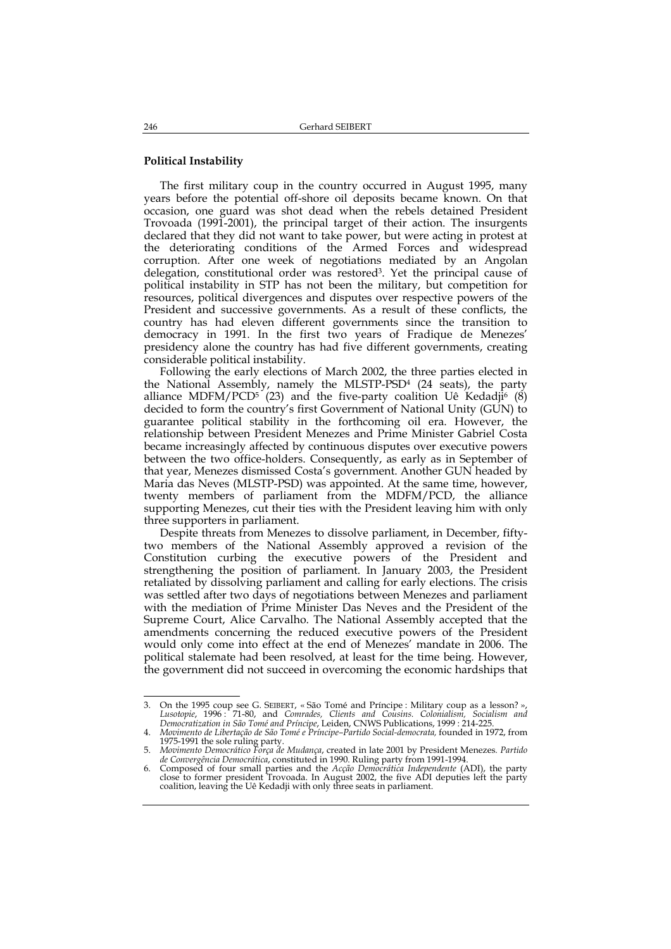#### **Political Instability**

The first military coup in the country occurred in August 1995, many years before the potential off-shore oil deposits became known. On that occasion, one guard was shot dead when the rebels detained President Trovoada (1991-2001), the principal target of their action. The insurgents declared that they did not want to take power, but were acting in protest at the deteriorating conditions of the Armed Forces and widespread corruption. After one week of negotiations mediated by an Angolan delegation, constitutional order was restored3. Yet the principal cause of political instability in STP has not been the military, but competition for resources, political divergences and disputes over respective powers of the President and successive governments. As a result of these conflicts, the country has had eleven different governments since the transition to democracy in 1991. In the first two years of Fradique de Menezes' presidency alone the country has had five different governments, creating considerable political instability.

Following the early elections of March 2002, the three parties elected in the National Assembly, namely the MLSTP-PSD4 (24 seats), the party alliance MDFM/PCD<sup>5</sup> (23) and the five-party coalition Uê Kedadji<sup>6</sup> (8) decided to form the country's first Government of National Unity (GUN) to guarantee political stability in the forthcoming oil era. However, the relationship between President Menezes and Prime Minister Gabriel Costa became increasingly affected by continuous disputes over executive powers between the two office-holders. Consequently, as early as in September of that year, Menezes dismissed Costa's government. Another GUN headed by Maria das Neves (MLSTP-PSD) was appointed. At the same time, however, twenty members of parliament from the MDFM/PCD, the alliance supporting Menezes, cut their ties with the President leaving him with only three supporters in parliament.

Despite threats from Menezes to dissolve parliament, in December, fiftytwo members of the National Assembly approved a revision of the Constitution curbing the executive powers of the President and strengthening the position of parliament. In January 2003, the President retaliated by dissolving parliament and calling for early elections. The crisis was settled after two days of negotiations between Menezes and parliament with the mediation of Prime Minister Das Neves and the President of the Supreme Court, Alice Carvalho. The National Assembly accepted that the amendments concerning the reduced executive powers of the President would only come into effect at the end of Menezes' mandate in 2006. The political stalemate had been resolved, at least for the time being. However, the government did not succeed in overcoming the economic hardships that

<sup>-</sup>3. On the 1995 coup see G. SEIBERT, «São Tomé and Príncipe : Military coup as a lesson? », Lusotopie, 1996 : 71-80, and Comrades, Clients and Cousins. Colonialism, Socialism and Democratization in São Tomé and Príncipe, Le

<sup>4.</sup> *Movimento de Libertação de São Tomé e Príncipe–Partido Social-democrata,* founded in 1972, from 1975-1991 the sole ruling party. 5. *Movimento Democrático Força de Mudança*, created in late 2001 by President Menezes*. Partido* 

de Convergência Democrática, constituted in 1990. Ruling party from 1991-1994.<br>6. Composed of four small parties and the Acção Democrática Independente (ADI), the party close to former president Trovoada. In August 2002, t coalition, leaving the Uê Kedadji with only three seats in parliament.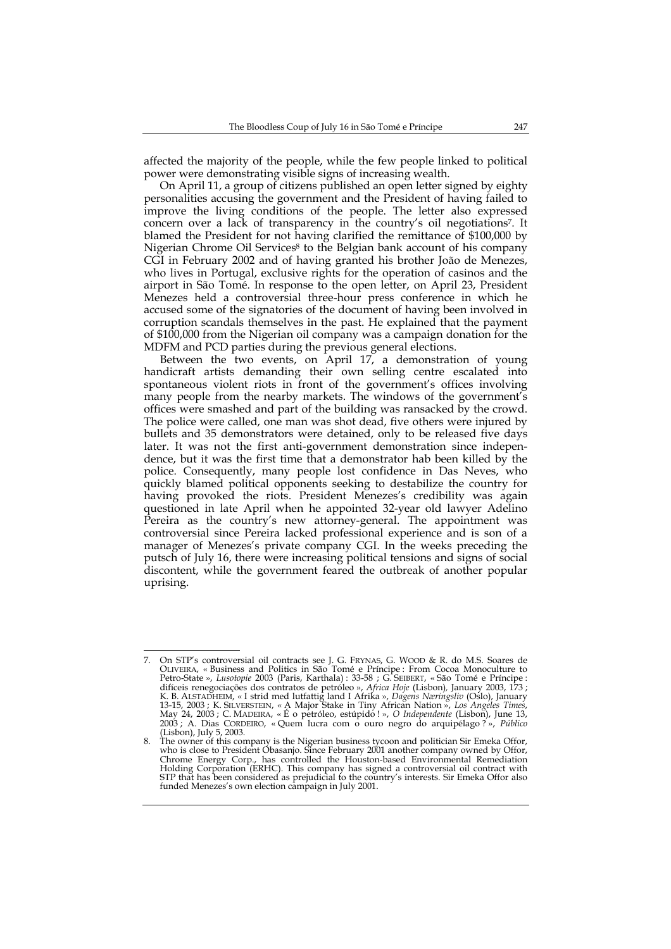affected the majority of the people, while the few people linked to political power were demonstrating visible signs of increasing wealth.

On April 11, a group of citizens published an open letter signed by eighty personalities accusing the government and the President of having failed to improve the living conditions of the people. The letter also expressed concern over a lack of transparency in the country's oil negotiations<sup>7</sup>. It blamed the President for not having clarified the remittance of \$100,000 by Nigerian Chrome Oil Services<sup>8</sup> to the Belgian bank account of his company CGI in February 2002 and of having granted his brother João de Menezes, who lives in Portugal, exclusive rights for the operation of casinos and the airport in São Tomé. In response to the open letter, on April 23, President Menezes held a controversial three-hour press conference in which he accused some of the signatories of the document of having been involved in corruption scandals themselves in the past. He explained that the payment of \$100,000 from the Nigerian oil company was a campaign donation for the MDFM and PCD parties during the previous general elections.

Between the two events, on April 17, a demonstration of young handicraft artists demanding their own selling centre escalated into spontaneous violent riots in front of the government's offices involving many people from the nearby markets. The windows of the government's offices were smashed and part of the building was ransacked by the crowd. The police were called, one man was shot dead, five others were injured by bullets and 35 demonstrators were detained, only to be released five days later. It was not the first anti-government demonstration since independence, but it was the first time that a demonstrator hab been killed by the police. Consequently, many people lost confidence in Das Neves, who quickly blamed political opponents seeking to destabilize the country for having provoked the riots. President Menezes's credibility was again questioned in late April when he appointed 32-year old lawyer Adelino Pereira as the country's new attorney-general. The appointment was controversial since Pereira lacked professional experience and is son of a manager of Menezes's private company CGI. In the weeks preceding the putsch of July 16, there were increasing political tensions and signs of social discontent, while the government feared the outbreak of another popular uprising.

 $\overline{7}$ . 7. On STP's controversial oil contracts see J. G. FRYNAS, G. WOOD & R. do M.S. Soares de OLIVEIRA, « Business and Politics in São Tomé e Príncipe : From Cocoa Monoculture to Petro-State », *Lusotopie* 2003 (Paris, Karthala) : 33-58 ; G. SEIBERT, «São Tomé e Príncipe :<br>difíceis renegociações dos contratos de petróleo »*, Africa Hoje* (Lisbon), January 2003, 173 ;<br>K. B. ALSTADHEIM, « I strid med 13-15, 2003 ; K. SILVERSTEIN, « A Major Stake in Tiny African Nation », *Los Angeles Times,*<br>May 24, 2003 ; C. MADEIRA, « É o petróleo, estúpido ! », *O Independente* (Lisbon), June 13, 2003 ; A. Dias CORDEIRO, « Quem lucra com o ouro negro do arquipélago ? », *Público*

<sup>(</sup>Lisbon), July 5, 2003. 8. The owner of this company is the Nigerian business tycoon and politician Sir Emeka Offor, who is close to President Obasanjo. Since February 2001 another company owned by Offor, Chrome Energy Corp., has controlled the Houston-based Environmental Remediation Holding Corporation (ERHC). This company has signed a controversial oil contract with STP that has been considered as prejudicial to the country's interests. Sir Emeka Offor also funded Menezes's own election campaign in July 2001.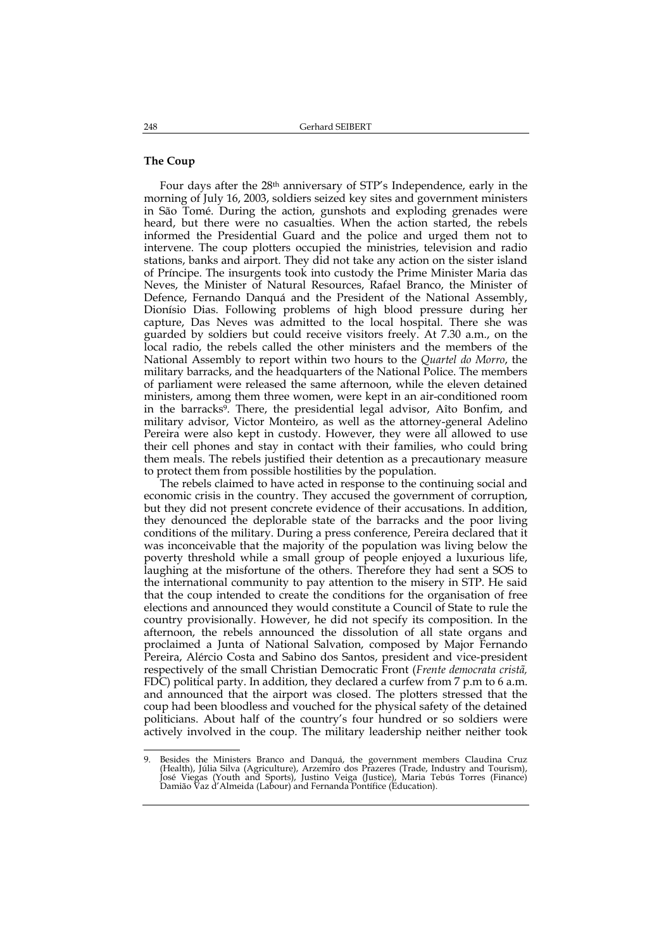#### **The Coup**

Four days after the 28th anniversary of STP's Independence, early in the morning of July 16, 2003, soldiers seized key sites and government ministers in São Tomé. During the action, gunshots and exploding grenades were heard, but there were no casualties. When the action started, the rebels informed the Presidential Guard and the police and urged them not to intervene. The coup plotters occupied the ministries, television and radio stations, banks and airport. They did not take any action on the sister island of Príncipe. The insurgents took into custody the Prime Minister Maria das Neves, the Minister of Natural Resources, Rafael Branco, the Minister of Defence, Fernando Danquá and the President of the National Assembly, Dionísio Dias. Following problems of high blood pressure during her capture, Das Neves was admitted to the local hospital. There she was guarded by soldiers but could receive visitors freely. At 7.30 a.m., on the local radio, the rebels called the other ministers and the members of the National Assembly to report within two hours to the *Quartel do Morro*, the military barracks, and the headquarters of the National Police. The members of parliament were released the same afternoon, while the eleven detained ministers, among them three women, were kept in an air-conditioned room in the barracks<sup>9</sup>. There, the presidential legal advisor, Aîto Bonfim, and military advisor, Victor Monteiro, as well as the attorney-general Adelino Pereira were also kept in custody. However, they were all allowed to use their cell phones and stay in contact with their families, who could bring them meals. The rebels justified their detention as a precautionary measure to protect them from possible hostilities by the population.

The rebels claimed to have acted in response to the continuing social and economic crisis in the country. They accused the government of corruption, but they did not present concrete evidence of their accusations. In addition, they denounced the deplorable state of the barracks and the poor living conditions of the military. During a press conference, Pereira declared that it was inconceivable that the majority of the population was living below the poverty threshold while a small group of people enjoyed a luxurious life, laughing at the misfortune of the others. Therefore they had sent a SOS to the international community to pay attention to the misery in STP. He said that the coup intended to create the conditions for the organisation of free elections and announced they would constitute a Council of State to rule the country provisionally. However, he did not specify its composition. In the afternoon, the rebels announced the dissolution of all state organs and proclaimed a Junta of National Salvation, composed by Major Fernando Pereira, Alércio Costa and Sabino dos Santos, president and vice-president respectively of the small Christian Democratic Front (*Frente democrata cristã,* FDC) political party. In addition, they declared a curfew from 7 p.m to 6 a.m. and announced that the airport was closed. The plotters stressed that the coup had been bloodless and vouched for the physical safety of the detained politicians. About half of the country's four hundred or so soldiers were actively involved in the coup. The military leadership neither neither took

j 9. Besides the Ministers Branco and Danquá, the government members Claudina Cruz (Health), Júlia Silva (Agriculture), Arzemiro dos Prazeres (Trade, Industry and Tourism), José Viegas (Youth and Sports), Justino Veiga (Just Damião Vaz d'Almeida (Labour) and Fernanda Pontífice (Education).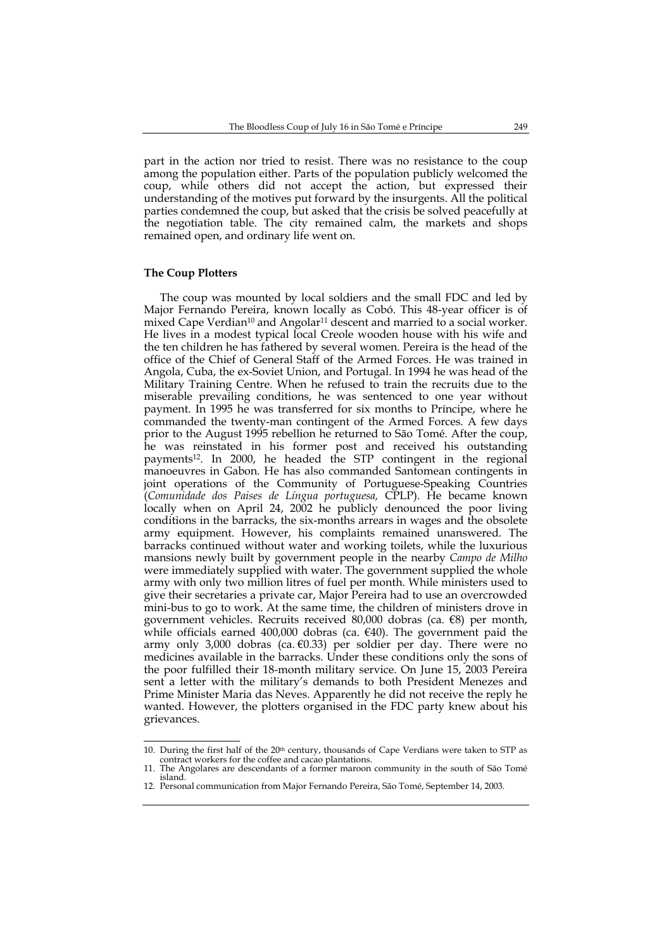part in the action nor tried to resist. There was no resistance to the coup among the population either. Parts of the population publicly welcomed the coup, while others did not accept the action, but expressed their understanding of the motives put forward by the insurgents. All the political parties condemned the coup, but asked that the crisis be solved peacefully at the negotiation table. The city remained calm, the markets and shops remained open, and ordinary life went on.

## **The Coup Plotters**

-

The coup was mounted by local soldiers and the small FDC and led by Major Fernando Pereira, known locally as Cobó. This 48-year officer is of mixed Cape Verdian<sup>10</sup> and Angolar<sup>11</sup> descent and married to a social worker. He lives in a modest typical local Creole wooden house with his wife and the ten children he has fathered by several women. Pereira is the head of the office of the Chief of General Staff of the Armed Forces. He was trained in Angola, Cuba, the ex-Soviet Union, and Portugal. In 1994 he was head of the Military Training Centre. When he refused to train the recruits due to the miserable prevailing conditions, he was sentenced to one year without payment. In 1995 he was transferred for six months to Príncipe, where he commanded the twenty-man contingent of the Armed Forces. A few days prior to the August 1995 rebellion he returned to São Tomé. After the coup, he was reinstated in his former post and received his outstanding payments12. In 2000, he headed the STP contingent in the regional manoeuvres in Gabon. He has also commanded Santomean contingents in joint operations of the Community of Portuguese-Speaking Countries (*Comunidade dos Paises de Língua portuguesa,* CPLP). He became known locally when on April 24, 2002 he publicly denounced the poor living conditions in the barracks, the six-months arrears in wages and the obsolete army equipment. However, his complaints remained unanswered. The barracks continued without water and working toilets, while the luxurious mansions newly built by government people in the nearby *Campo de Milho* were immediately supplied with water. The government supplied the whole army with only two million litres of fuel per month. While ministers used to give their secretaries a private car, Major Pereira had to use an overcrowded mini-bus to go to work. At the same time, the children of ministers drove in government vehicles. Recruits received 80,000 dobras (ca. €8) per month, while officials earned 400,000 dobras (ca. €40). The government paid the army only 3,000 dobras (ca. €0.33) per soldier per day. There were no medicines available in the barracks. Under these conditions only the sons of the poor fulfilled their 18-month military service. On June 15, 2003 Pereira sent a letter with the military's demands to both President Menezes and Prime Minister Maria das Neves. Apparently he did not receive the reply he wanted. However, the plotters organised in the FDC party knew about his grievances.

<sup>10.</sup> During the first half of the  $20<sup>th</sup>$  century, thousands of Cape Verdians were taken to STP as contract workers for the coffee and cacao plantations.

<sup>11.</sup> The Angolares are descendants of a former maroon community in the south of São Tomé island.

<sup>12.</sup> Personal communication from Major Fernando Pereira, São Tomé, September 14, 2003.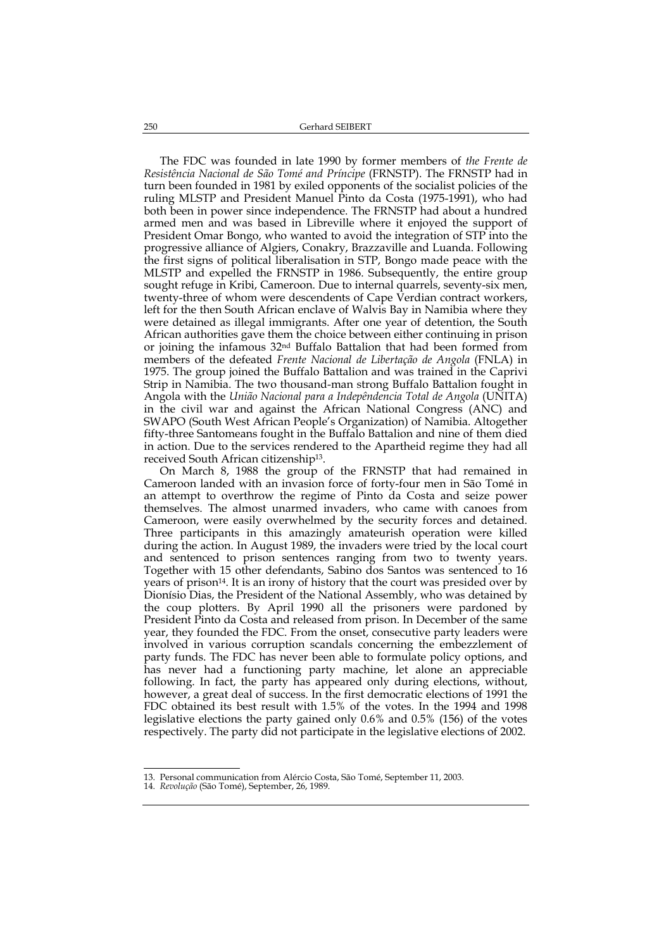The FDC was founded in late 1990 by former members of *the Frente de Resistência Nacional de São Tomé and Príncipe* (FRNSTP). The FRNSTP had in turn been founded in 1981 by exiled opponents of the socialist policies of the ruling MLSTP and President Manuel Pinto da Costa (1975-1991), who had both been in power since independence. The FRNSTP had about a hundred armed men and was based in Libreville where it enjoyed the support of President Omar Bongo, who wanted to avoid the integration of STP into the progressive alliance of Algiers, Conakry, Brazzaville and Luanda. Following the first signs of political liberalisation in STP, Bongo made peace with the MLSTP and expelled the FRNSTP in 1986. Subsequently, the entire group sought refuge in Kribi, Cameroon. Due to internal quarrels, seventy-six men, twenty-three of whom were descendents of Cape Verdian contract workers, left for the then South African enclave of Walvis Bay in Namibia where they were detained as illegal immigrants. After one year of detention, the South African authorities gave them the choice between either continuing in prison or joining the infamous 32nd Buffalo Battalion that had been formed from members of the defeated *Frente Nacional de Libertação de Angola* (FNLA) in 1975. The group joined the Buffalo Battalion and was trained in the Caprivi Strip in Namibia. The two thousand-man strong Buffalo Battalion fought in Angola with the *União Nacional para a Indepêndencia Total de Angola* (UNITA) in the civil war and against the African National Congress (ANC) and SWAPO (South West African People's Organization) of Namibia. Altogether fifty-three Santomeans fought in the Buffalo Battalion and nine of them died in action. Due to the services rendered to the Apartheid regime they had all received South African citizenship13.

On March 8, 1988 the group of the FRNSTP that had remained in Cameroon landed with an invasion force of forty-four men in São Tomé in an attempt to overthrow the regime of Pinto da Costa and seize power themselves. The almost unarmed invaders, who came with canoes from Cameroon, were easily overwhelmed by the security forces and detained. Three participants in this amazingly amateurish operation were killed during the action. In August 1989, the invaders were tried by the local court and sentenced to prison sentences ranging from two to twenty years. Together with 15 other defendants, Sabino dos Santos was sentenced to 16 years of prison<sup>14</sup>. It is an irony of history that the court was presided over by Dionísio Dias, the President of the National Assembly, who was detained by the coup plotters. By April 1990 all the prisoners were pardoned by President Pinto da Costa and released from prison. In December of the same year, they founded the FDC. From the onset, consecutive party leaders were involved in various corruption scandals concerning the embezzlement of party funds. The FDC has never been able to formulate policy options, and has never had a functioning party machine, let alone an appreciable following. In fact, the party has appeared only during elections, without, however, a great deal of success. In the first democratic elections of 1991 the FDC obtained its best result with 1.5% of the votes. In the 1994 and 1998 legislative elections the party gained only 0.6% and 0.5% (156) of the votes respectively. The party did not participate in the legislative elections of 2002.

14. *Revolução* (São Tomé), September, 26, 1989.

<sup>13.</sup> Personal communication from Alércio Costa, São Tomé, September 11, 2003.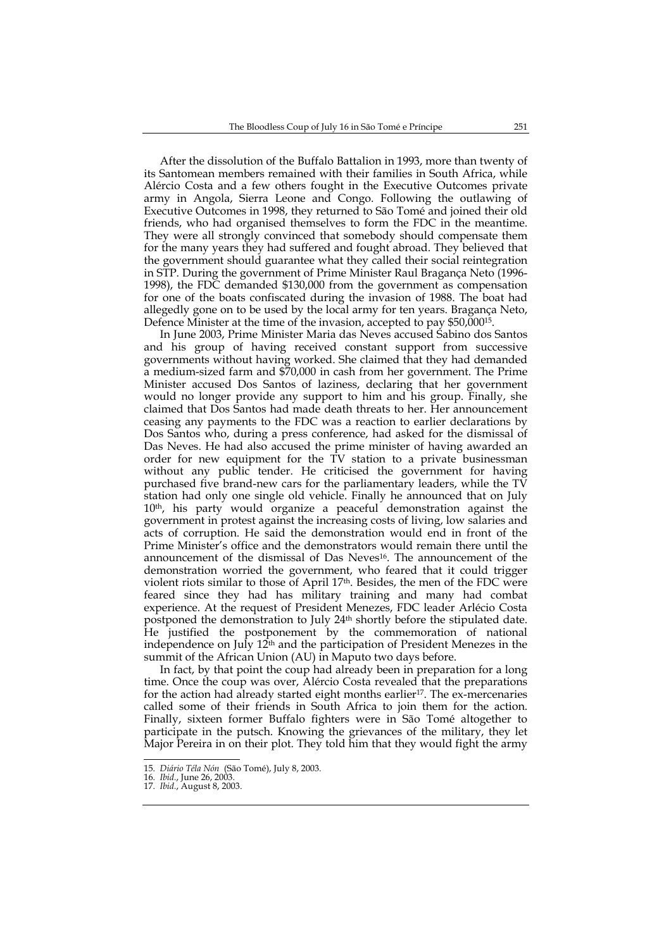After the dissolution of the Buffalo Battalion in 1993, more than twenty of its Santomean members remained with their families in South Africa, while Alércio Costa and a few others fought in the Executive Outcomes private army in Angola, Sierra Leone and Congo. Following the outlawing of Executive Outcomes in 1998, they returned to São Tomé and joined their old friends, who had organised themselves to form the FDC in the meantime. They were all strongly convinced that somebody should compensate them for the many years they had suffered and fought abroad. They believed that the government should guarantee what they called their social reintegration in STP. During the government of Prime Minister Raul Bragança Neto (1996- 1998), the FDC demanded \$130,000 from the government as compensation for one of the boats confiscated during the invasion of 1988. The boat had allegedly gone on to be used by the local army for ten years. Bragança Neto, Defence Minister at the time of the invasion, accepted to pay \$50,00015.

In June 2003, Prime Minister Maria das Neves accused Sabino dos Santos and his group of having received constant support from successive governments without having worked. She claimed that they had demanded a medium-sized farm and \$70,000 in cash from her government. The Prime Minister accused Dos Santos of laziness, declaring that her government would no longer provide any support to him and his group. Finally, she claimed that Dos Santos had made death threats to her. Her announcement ceasing any payments to the FDC was a reaction to earlier declarations by Dos Santos who, during a press conference, had asked for the dismissal of Das Neves. He had also accused the prime minister of having awarded an order for new equipment for the TV station to a private businessman without any public tender. He criticised the government for having purchased five brand-new cars for the parliamentary leaders, while the TV station had only one single old vehicle. Finally he announced that on July 10th, his party would organize a peaceful demonstration against the government in protest against the increasing costs of living, low salaries and acts of corruption. He said the demonstration would end in front of the Prime Minister's office and the demonstrators would remain there until the announcement of the dismissal of Das Neves<sup>16</sup>. The announcement of the demonstration worried the government, who feared that it could trigger violent riots similar to those of April 17<sup>th</sup>. Besides, the men of the FDC were feared since they had has military training and many had combat experience. At the request of President Menezes, FDC leader Arlécio Costa postponed the demonstration to July 24th shortly before the stipulated date. He justified the postponement by the commemoration of national independence on July 12<sup>th</sup> and the participation of President Menezes in the summit of the African Union (AU) in Maputo two days before.

In fact, by that point the coup had already been in preparation for a long time. Once the coup was over, Alércio Costa revealed that the preparations for the action had already started eight months earlier<sup>17</sup>. The ex-mercenaries called some of their friends in South Africa to join them for the action. Finally, sixteen former Buffalo fighters were in São Tomé altogether to participate in the putsch. Knowing the grievances of the military, they let Major Pereira in on their plot. They told him that they would fight the army

<sup>15.</sup> *Diário Téla Nón* (São Tomé), July 8, 2003.

<sup>16.</sup> *Ibid.*, June 26, 2003.

<sup>17.</sup> *Ibid.*, August 8, 2003.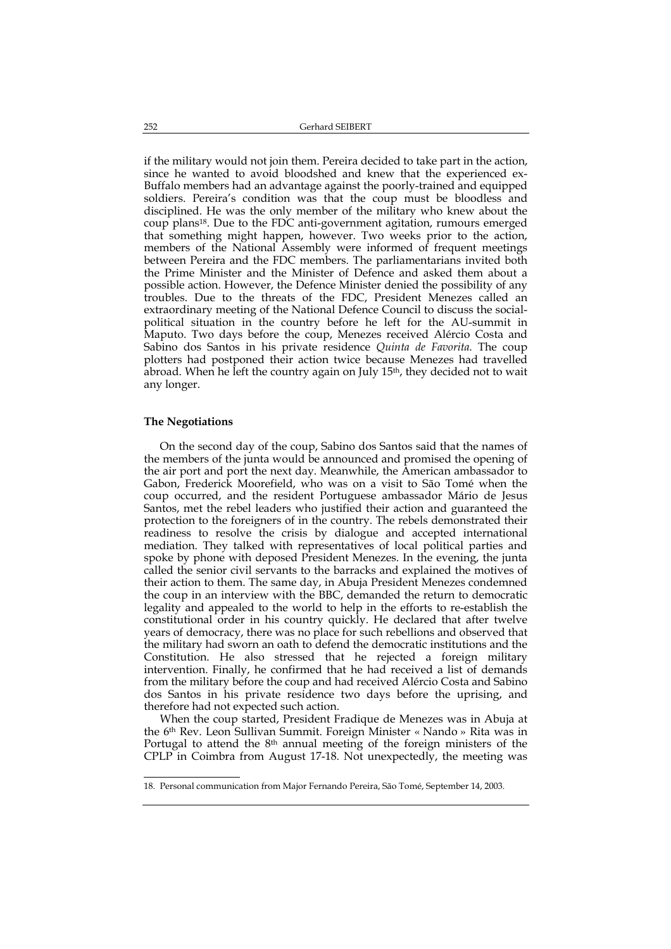if the military would not join them. Pereira decided to take part in the action, since he wanted to avoid bloodshed and knew that the experienced ex-Buffalo members had an advantage against the poorly-trained and equipped soldiers. Pereira's condition was that the coup must be bloodless and disciplined. He was the only member of the military who knew about the coup plans18. Due to the FDC anti-government agitation, rumours emerged that something might happen, however. Two weeks prior to the action, members of the National Assembly were informed of frequent meetings between Pereira and the FDC members. The parliamentarians invited both the Prime Minister and the Minister of Defence and asked them about a possible action. However, the Defence Minister denied the possibility of any troubles. Due to the threats of the FDC, President Menezes called an extraordinary meeting of the National Defence Council to discuss the socialpolitical situation in the country before he left for the AU-summit in Maputo. Two days before the coup, Menezes received Alércio Costa and Sabino dos Santos in his private residence *Quinta de Favorita*. The coup plotters had postponed their action twice because Menezes had travelled abroad. When he left the country again on July 15th, they decided not to wait any longer.

#### **The Negotiations**

On the second day of the coup, Sabino dos Santos said that the names of the members of the junta would be announced and promised the opening of the air port and port the next day. Meanwhile, the American ambassador to Gabon, Frederick Moorefield, who was on a visit to São Tomé when the coup occurred, and the resident Portuguese ambassador Mário de Jesus Santos, met the rebel leaders who justified their action and guaranteed the protection to the foreigners of in the country. The rebels demonstrated their readiness to resolve the crisis by dialogue and accepted international mediation. They talked with representatives of local political parties and spoke by phone with deposed President Menezes. In the evening, the junta called the senior civil servants to the barracks and explained the motives of their action to them. The same day, in Abuja President Menezes condemned the coup in an interview with the BBC, demanded the return to democratic legality and appealed to the world to help in the efforts to re-establish the constitutional order in his country quickly. He declared that after twelve years of democracy, there was no place for such rebellions and observed that the military had sworn an oath to defend the democratic institutions and the Constitution. He also stressed that he rejected a foreign military intervention. Finally, he confirmed that he had received a list of demands from the military before the coup and had received Alércio Costa and Sabino dos Santos in his private residence two days before the uprising, and therefore had not expected such action.

When the coup started, President Fradique de Menezes was in Abuja at the 6th Rev. Leon Sullivan Summit. Foreign Minister « Nando » Rita was in Portugal to attend the 8th annual meeting of the foreign ministers of the CPLP in Coimbra from August 17-18. Not unexpectedly, the meeting was

j 18. Personal communication from Major Fernando Pereira, São Tomé, September 14, 2003.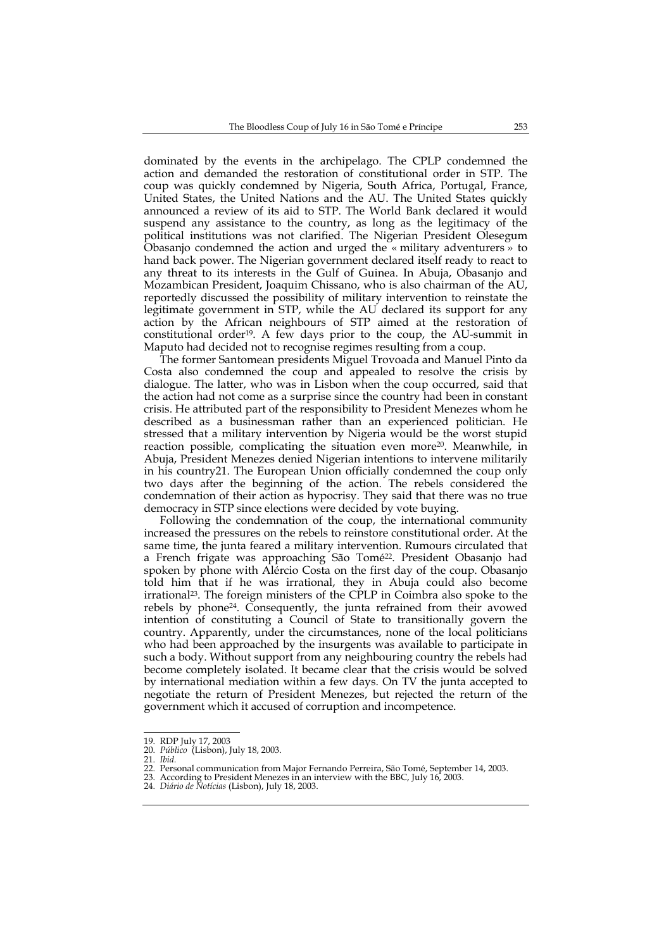dominated by the events in the archipelago. The CPLP condemned the action and demanded the restoration of constitutional order in STP. The coup was quickly condemned by Nigeria, South Africa, Portugal, France, United States, the United Nations and the AU. The United States quickly announced a review of its aid to STP. The World Bank declared it would suspend any assistance to the country, as long as the legitimacy of the political institutions was not clarified. The Nigerian President Olesegum Obasanjo condemned the action and urged the « military adventurers » to hand back power. The Nigerian government declared itself ready to react to any threat to its interests in the Gulf of Guinea. In Abuja, Obasanjo and Mozambican President, Joaquim Chissano, who is also chairman of the AU, reportedly discussed the possibility of military intervention to reinstate the legitimate government in STP, while the AU declared its support for any action by the African neighbours of STP aimed at the restoration of constitutional order<sup>19</sup>. A few days prior to the coup, the AU-summit in Maputo had decided not to recognise regimes resulting from a coup.

The former Santomean presidents Miguel Trovoada and Manuel Pinto da Costa also condemned the coup and appealed to resolve the crisis by dialogue. The latter, who was in Lisbon when the coup occurred, said that the action had not come as a surprise since the country had been in constant crisis. He attributed part of the responsibility to President Menezes whom he described as a businessman rather than an experienced politician. He stressed that a military intervention by Nigeria would be the worst stupid reaction possible, complicating the situation even more<sup>20</sup>. Meanwhile, in Abuja, President Menezes denied Nigerian intentions to intervene militarily in his country21. The European Union officially condemned the coup only two days after the beginning of the action. The rebels considered the condemnation of their action as hypocrisy. They said that there was no true democracy in STP since elections were decided by vote buying.

Following the condemnation of the coup, the international community increased the pressures on the rebels to reinstore constitutional order. At the same time, the junta feared a military intervention. Rumours circulated that a French frigate was approaching São Tomé<sup>22</sup>. President Obasanjo had spoken by phone with Alércio Costa on the first day of the coup. Obasanjo told him that if he was irrational, they in Abuja could also become irrational23. The foreign ministers of the CPLP in Coimbra also spoke to the rebels by phone24. Consequently, the junta refrained from their avowed intention of constituting a Council of State to transitionally govern the country. Apparently, under the circumstances, none of the local politicians who had been approached by the insurgents was available to participate in such a body. Without support from any neighbouring country the rebels had become completely isolated. It became clear that the crisis would be solved by international mediation within a few days. On TV the junta accepted to negotiate the return of President Menezes, but rejected the return of the government which it accused of corruption and incompetence.

<sup>19.</sup> RDP July 17, 2003

<sup>20.</sup> *Público* (Lisbon), July 18, 2003.

<sup>21.</sup> *Ibid.*

<sup>22.</sup> Personal communication from Major Fernando Perreira, São Tomé, September 14, 2003.

<sup>23.</sup> According to President Menezes in an interview with the BBC, July 16, 2003.

<sup>24.</sup> *Diário de Notícias* (Lisbon), July 18, 2003.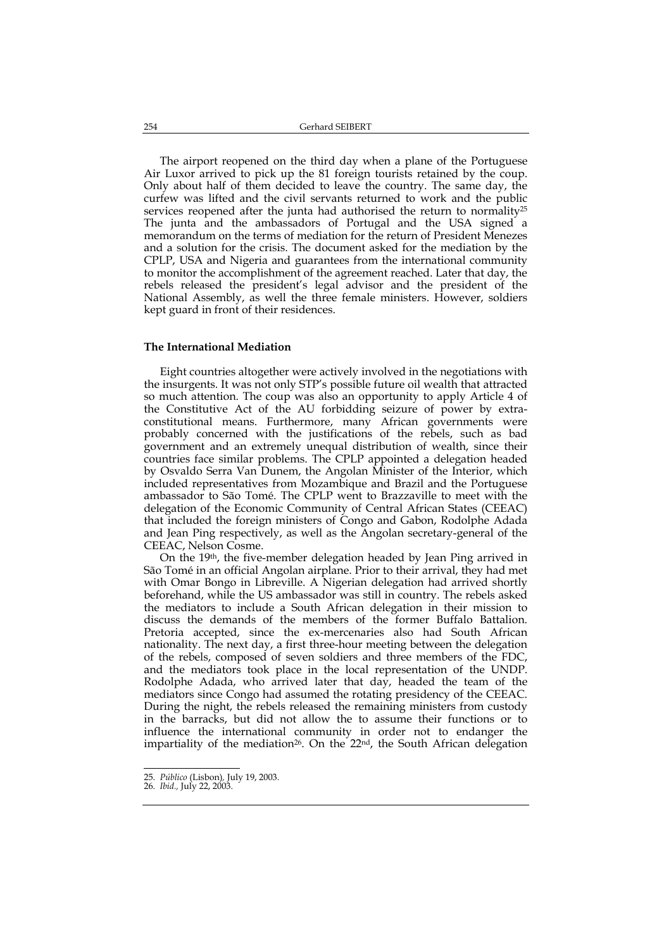The airport reopened on the third day when a plane of the Portuguese Air Luxor arrived to pick up the 81 foreign tourists retained by the coup. Only about half of them decided to leave the country. The same day, the curfew was lifted and the civil servants returned to work and the public services reopened after the junta had authorised the return to normality<sup>25</sup> The junta and the ambassadors of Portugal and the USA signed a memorandum on the terms of mediation for the return of President Menezes and a solution for the crisis. The document asked for the mediation by the CPLP, USA and Nigeria and guarantees from the international community to monitor the accomplishment of the agreement reached. Later that day, the rebels released the president's legal advisor and the president of the National Assembly, as well the three female ministers. However, soldiers kept guard in front of their residences.

#### **The International Mediation**

Eight countries altogether were actively involved in the negotiations with the insurgents. It was not only STP's possible future oil wealth that attracted so much attention. The coup was also an opportunity to apply Article 4 of the Constitutive Act of the AU forbidding seizure of power by extraconstitutional means. Furthermore, many African governments were probably concerned with the justifications of the rebels, such as bad government and an extremely unequal distribution of wealth, since their countries face similar problems. The CPLP appointed a delegation headed by Osvaldo Serra Van Dunem, the Angolan Minister of the Interior, which included representatives from Mozambique and Brazil and the Portuguese ambassador to São Tomé. The CPLP went to Brazzaville to meet with the delegation of the Economic Community of Central African States (CEEAC) that included the foreign ministers of Congo and Gabon, Rodolphe Adada and Jean Ping respectively, as well as the Angolan secretary-general of the CEEAC, Nelson Cosme.

On the 19th, the five-member delegation headed by Jean Ping arrived in São Tomé in an official Angolan airplane. Prior to their arrival, they had met with Omar Bongo in Libreville. A Nigerian delegation had arrived shortly beforehand, while the US ambassador was still in country. The rebels asked the mediators to include a South African delegation in their mission to discuss the demands of the members of the former Buffalo Battalion. Pretoria accepted, since the ex-mercenaries also had South African nationality. The next day, a first three-hour meeting between the delegation of the rebels, composed of seven soldiers and three members of the FDC, and the mediators took place in the local representation of the UNDP. Rodolphe Adada, who arrived later that day, headed the team of the mediators since Congo had assumed the rotating presidency of the CEEAC. During the night, the rebels released the remaining ministers from custody in the barracks, but did not allow the to assume their functions or to influence the international community in order not to endanger the impartiality of the mediation<sup>26</sup>. On the 22<sup>nd</sup>, the South African delegation

<sup>25.</sup> *Público* (Lisbon)*,* July 19, 2003.

<sup>26.</sup> *Ibid.,* July 22, 2003.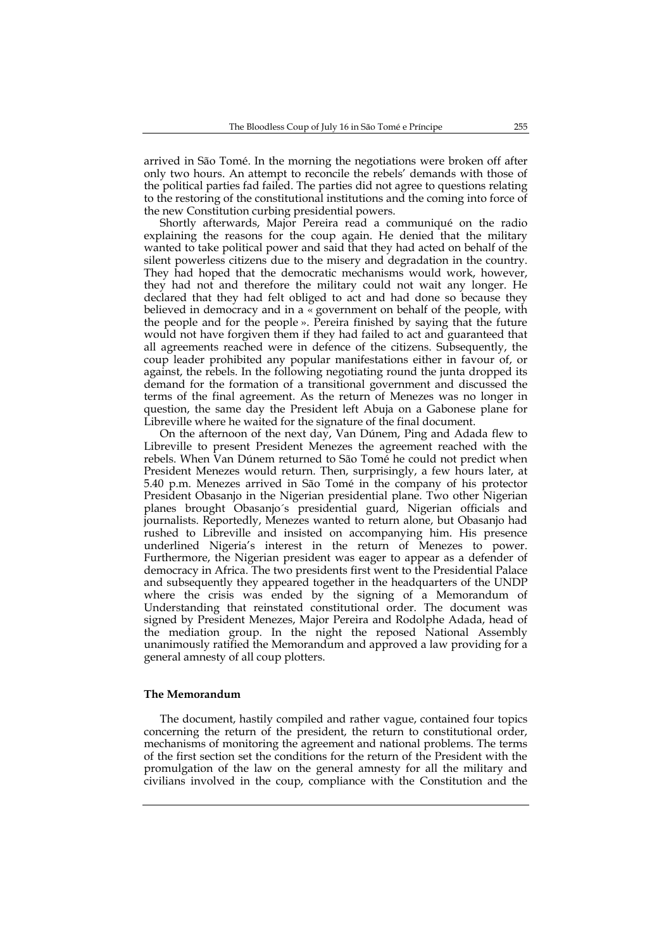arrived in São Tomé. In the morning the negotiations were broken off after only two hours. An attempt to reconcile the rebels' demands with those of the political parties fad failed. The parties did not agree to questions relating to the restoring of the constitutional institutions and the coming into force of the new Constitution curbing presidential powers.

Shortly afterwards, Major Pereira read a communiqué on the radio explaining the reasons for the coup again. He denied that the military wanted to take political power and said that they had acted on behalf of the silent powerless citizens due to the misery and degradation in the country. They had hoped that the democratic mechanisms would work, however, they had not and therefore the military could not wait any longer. He declared that they had felt obliged to act and had done so because they believed in democracy and in a « government on behalf of the people, with the people and for the people ». Pereira finished by saying that the future would not have forgiven them if they had failed to act and guaranteed that all agreements reached were in defence of the citizens. Subsequently, the coup leader prohibited any popular manifestations either in favour of, or against, the rebels. In the following negotiating round the junta dropped its demand for the formation of a transitional government and discussed the terms of the final agreement. As the return of Menezes was no longer in question, the same day the President left Abuja on a Gabonese plane for Libreville where he waited for the signature of the final document.

On the afternoon of the next day, Van Dúnem, Ping and Adada flew to Libreville to present President Menezes the agreement reached with the rebels. When Van Dúnem returned to São Tomé he could not predict when President Menezes would return. Then, surprisingly, a few hours later, at 5.40 p.m. Menezes arrived in São Tomé in the company of his protector President Obasanjo in the Nigerian presidential plane. Two other Nigerian planes brought Obasanjo´s presidential guard, Nigerian officials and journalists. Reportedly, Menezes wanted to return alone, but Obasanjo had rushed to Libreville and insisted on accompanying him. His presence underlined Nigeria's interest in the return of Menezes to power. Furthermore, the Nigerian president was eager to appear as a defender of democracy in Africa. The two presidents first went to the Presidential Palace and subsequently they appeared together in the headquarters of the UNDP where the crisis was ended by the signing of a Memorandum of Understanding that reinstated constitutional order. The document was signed by President Menezes, Major Pereira and Rodolphe Adada, head of the mediation group. In the night the reposed National Assembly unanimously ratified the Memorandum and approved a law providing for a general amnesty of all coup plotters.

## **The Memorandum**

The document, hastily compiled and rather vague, contained four topics concerning the return of the president, the return to constitutional order, mechanisms of monitoring the agreement and national problems. The terms of the first section set the conditions for the return of the President with the promulgation of the law on the general amnesty for all the military and civilians involved in the coup, compliance with the Constitution and the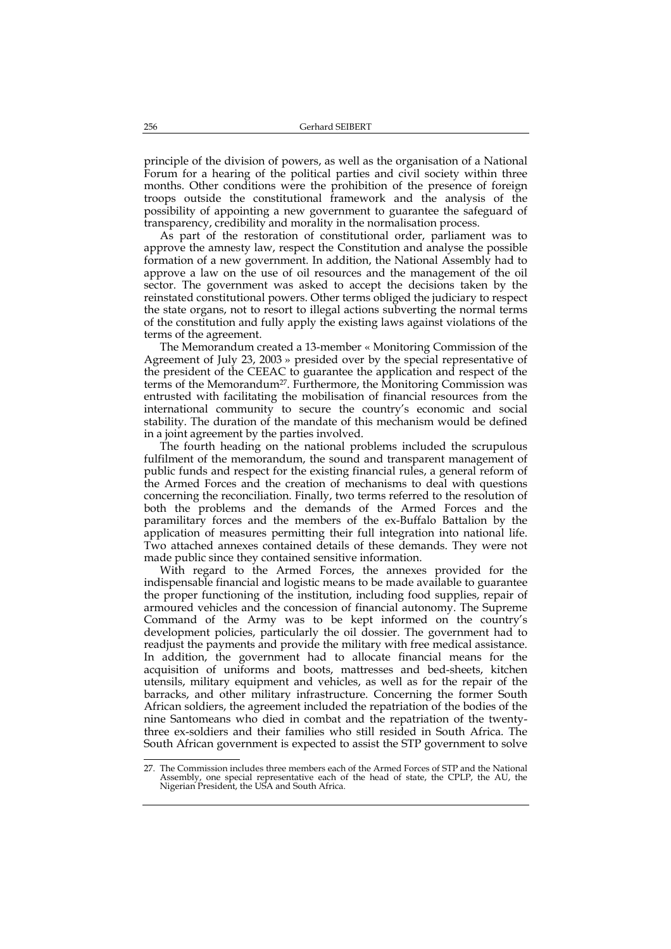principle of the division of powers, as well as the organisation of a National Forum for a hearing of the political parties and civil society within three months. Other conditions were the prohibition of the presence of foreign troops outside the constitutional framework and the analysis of the possibility of appointing a new government to guarantee the safeguard of transparency, credibility and morality in the normalisation process.

As part of the restoration of constitutional order, parliament was to approve the amnesty law, respect the Constitution and analyse the possible formation of a new government. In addition, the National Assembly had to approve a law on the use of oil resources and the management of the oil sector. The government was asked to accept the decisions taken by the reinstated constitutional powers. Other terms obliged the judiciary to respect the state organs, not to resort to illegal actions subverting the normal terms of the constitution and fully apply the existing laws against violations of the terms of the agreement.

The Memorandum created a 13-member « Monitoring Commission of the Agreement of July 23, 2003 » presided over by the special representative of the president of the CEEAC to guarantee the application and respect of the terms of the Memorandum<sup>27</sup>. Furthermore, the Monitoring Commission was entrusted with facilitating the mobilisation of financial resources from the international community to secure the country's economic and social stability. The duration of the mandate of this mechanism would be defined in a joint agreement by the parties involved.

The fourth heading on the national problems included the scrupulous fulfilment of the memorandum, the sound and transparent management of public funds and respect for the existing financial rules, a general reform of the Armed Forces and the creation of mechanisms to deal with questions concerning the reconciliation. Finally, two terms referred to the resolution of both the problems and the demands of the Armed Forces and the paramilitary forces and the members of the ex-Buffalo Battalion by the application of measures permitting their full integration into national life. Two attached annexes contained details of these demands. They were not made public since they contained sensitive information.

With regard to the Armed Forces, the annexes provided for the indispensable financial and logistic means to be made available to guarantee the proper functioning of the institution, including food supplies, repair of armoured vehicles and the concession of financial autonomy. The Supreme Command of the Army was to be kept informed on the country's development policies, particularly the oil dossier. The government had to readjust the payments and provide the military with free medical assistance. In addition, the government had to allocate financial means for the acquisition of uniforms and boots, mattresses and bed-sheets, kitchen utensils, military equipment and vehicles, as well as for the repair of the barracks, and other military infrastructure. Concerning the former South African soldiers, the agreement included the repatriation of the bodies of the nine Santomeans who died in combat and the repatriation of the twentythree ex-soldiers and their families who still resided in South Africa. The South African government is expected to assist the STP government to solve

<sup>-</sup>27. The Commission includes three members each of the Armed Forces of STP and the National Assembly, one special representative each of the head of state, the CPLP, the AU, the Nigerian President, the USA and South Africa.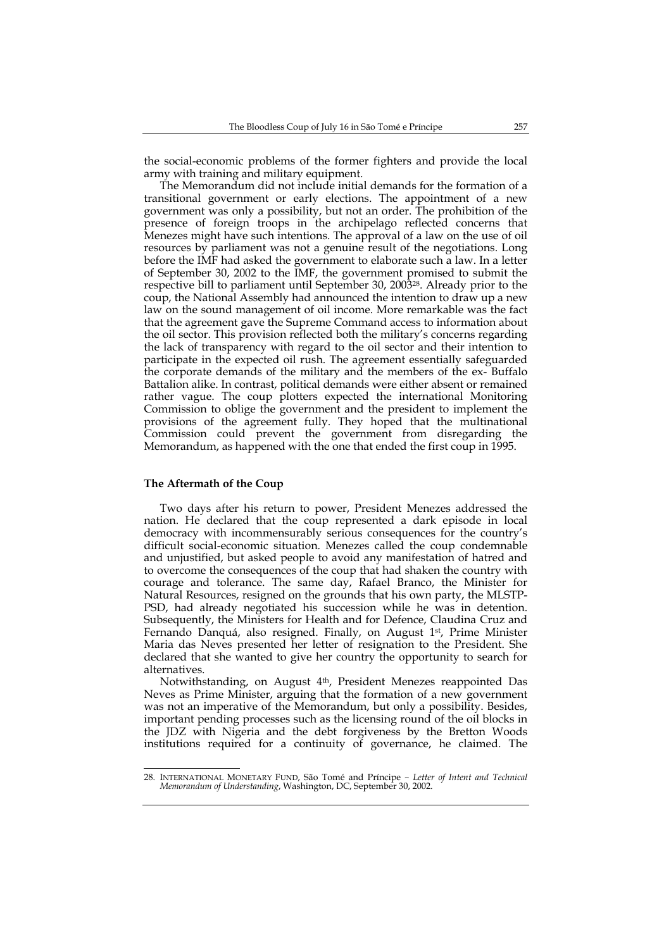the social-economic problems of the former fighters and provide the local army with training and military equipment.

The Memorandum did not include initial demands for the formation of a transitional government or early elections. The appointment of a new government was only a possibility, but not an order. The prohibition of the presence of foreign troops in the archipelago reflected concerns that Menezes might have such intentions. The approval of a law on the use of oil resources by parliament was not a genuine result of the negotiations. Long before the IMF had asked the government to elaborate such a law. In a letter of September 30, 2002 to the IMF, the government promised to submit the respective bill to parliament until September 30, 200328. Already prior to the coup, the National Assembly had announced the intention to draw up a new law on the sound management of oil income. More remarkable was the fact that the agreement gave the Supreme Command access to information about the oil sector. This provision reflected both the military's concerns regarding the lack of transparency with regard to the oil sector and their intention to participate in the expected oil rush. The agreement essentially safeguarded the corporate demands of the military and the members of the ex- Buffalo Battalion alike. In contrast, political demands were either absent or remained rather vague. The coup plotters expected the international Monitoring Commission to oblige the government and the president to implement the provisions of the agreement fully. They hoped that the multinational Commission could prevent the government from disregarding the Memorandum, as happened with the one that ended the first coup in 1995.

### **The Aftermath of the Coup**

Two days after his return to power, President Menezes addressed the nation. He declared that the coup represented a dark episode in local democracy with incommensurably serious consequences for the country's difficult social-economic situation. Menezes called the coup condemnable and unjustified, but asked people to avoid any manifestation of hatred and to overcome the consequences of the coup that had shaken the country with courage and tolerance. The same day, Rafael Branco, the Minister for Natural Resources, resigned on the grounds that his own party, the MLSTP-PSD, had already negotiated his succession while he was in detention. Subsequently, the Ministers for Health and for Defence, Claudina Cruz and Fernando Danquá, also resigned. Finally, on August 1st, Prime Minister Maria das Neves presented her letter of resignation to the President. She declared that she wanted to give her country the opportunity to search for alternatives.

Notwithstanding, on August 4th, President Menezes reappointed Das Neves as Prime Minister, arguing that the formation of a new government was not an imperative of the Memorandum, but only a possibility. Besides, important pending processes such as the licensing round of the oil blocks in the JDZ with Nigeria and the debt forgiveness by the Bretton Woods institutions required for a continuity of governance, he claimed. The

<sup>-</sup>28. INTERNATIONAL MONETARY FUND, São Tomé and Príncipe *– Letter of Intent and Technical Memorandum of Understanding*, Washington, DC, September 30, 2002.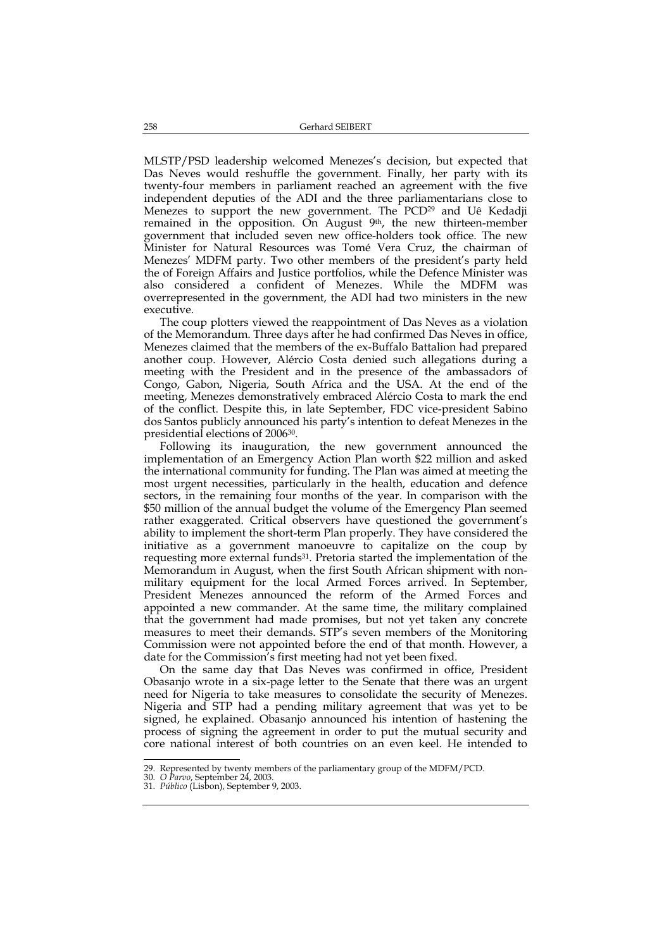MLSTP/PSD leadership welcomed Menezes's decision, but expected that Das Neves would reshuffle the government. Finally, her party with its twenty-four members in parliament reached an agreement with the five independent deputies of the ADI and the three parliamentarians close to Menezes to support the new government. The PCD<sup>29</sup> and Uê Kedadji remained in the opposition. On August 9<sup>th</sup>, the new thirteen-member government that included seven new office-holders took office. The new Minister for Natural Resources was Tomé Vera Cruz, the chairman of Menezes' MDFM party. Two other members of the president's party held the of Foreign Affairs and Justice portfolios, while the Defence Minister was also considered a confident of Menezes. While the MDFM was overrepresented in the government, the ADI had two ministers in the new executive.

The coup plotters viewed the reappointment of Das Neves as a violation of the Memorandum. Three days after he had confirmed Das Neves in office, Menezes claimed that the members of the ex-Buffalo Battalion had prepared another coup. However, Alércio Costa denied such allegations during a meeting with the President and in the presence of the ambassadors of Congo, Gabon, Nigeria, South Africa and the USA. At the end of the meeting, Menezes demonstratively embraced Alércio Costa to mark the end of the conflict. Despite this, in late September, FDC vice-president Sabino dos Santos publicly announced his party's intention to defeat Menezes in the presidential elections of 200630.

Following its inauguration, the new government announced the implementation of an Emergency Action Plan worth \$22 million and asked the international community for funding. The Plan was aimed at meeting the most urgent necessities, particularly in the health, education and defence sectors, in the remaining four months of the year. In comparison with the \$50 million of the annual budget the volume of the Emergency Plan seemed rather exaggerated. Critical observers have questioned the government's ability to implement the short-term Plan properly. They have considered the initiative as a government manoeuvre to capitalize on the coup by requesting more external funds<sup>31</sup>. Pretoria started the implementation of the Memorandum in August, when the first South African shipment with nonmilitary equipment for the local Armed Forces arrived. In September, President Menezes announced the reform of the Armed Forces and appointed a new commander. At the same time, the military complained that the government had made promises, but not yet taken any concrete measures to meet their demands. STP's seven members of the Monitoring Commission were not appointed before the end of that month. However, a date for the Commission's first meeting had not yet been fixed.

On the same day that Das Neves was confirmed in office, President Obasanjo wrote in a six-page letter to the Senate that there was an urgent need for Nigeria to take measures to consolidate the security of Menezes. Nigeria and STP had a pending military agreement that was yet to be signed, he explained. Obasanjo announced his intention of hastening the process of signing the agreement in order to put the mutual security and core national interest of both countries on an even keel. He intended to

<sup>29.</sup> Represented by twenty members of the parliamentary group of the MDFM/PCD.

<sup>30.</sup> *O Parvo*, September 24, 2003.

<sup>31.</sup> *Público* (Lisbon), September 9, 2003.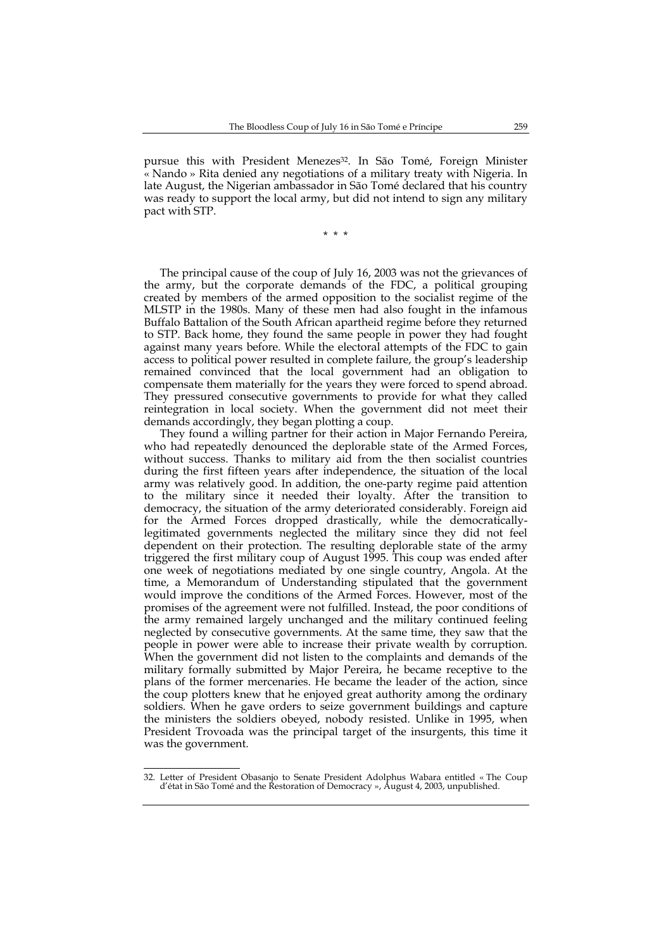pursue this with President Menezes<sup>32</sup>. In São Tomé, Foreign Minister « Nando » Rita denied any negotiations of a military treaty with Nigeria. In late August, the Nigerian ambassador in São Tomé declared that his country was ready to support the local army, but did not intend to sign any military pact with STP.

\* \* \*

The principal cause of the coup of July 16, 2003 was not the grievances of the army, but the corporate demands of the FDC, a political grouping created by members of the armed opposition to the socialist regime of the MLSTP in the 1980s. Many of these men had also fought in the infamous Buffalo Battalion of the South African apartheid regime before they returned to STP. Back home, they found the same people in power they had fought against many years before. While the electoral attempts of the FDC to gain access to political power resulted in complete failure, the group's leadership remained convinced that the local government had an obligation to compensate them materially for the years they were forced to spend abroad. They pressured consecutive governments to provide for what they called reintegration in local society. When the government did not meet their demands accordingly, they began plotting a coup.

They found a willing partner for their action in Major Fernando Pereira, who had repeatedly denounced the deplorable state of the Armed Forces, without success. Thanks to military aid from the then socialist countries during the first fifteen years after independence, the situation of the local army was relatively good. In addition, the one-party regime paid attention to the military since it needed their loyalty. After the transition to democracy, the situation of the army deteriorated considerably. Foreign aid for the Armed Forces dropped drastically, while the democraticallylegitimated governments neglected the military since they did not feel dependent on their protection. The resulting deplorable state of the army triggered the first military coup of August 1995. This coup was ended after one week of negotiations mediated by one single country, Angola. At the time, a Memorandum of Understanding stipulated that the government would improve the conditions of the Armed Forces. However, most of the promises of the agreement were not fulfilled. Instead, the poor conditions of the army remained largely unchanged and the military continued feeling neglected by consecutive governments. At the same time, they saw that the people in power were able to increase their private wealth by corruption. When the government did not listen to the complaints and demands of the military formally submitted by Major Pereira, he became receptive to the plans of the former mercenaries. He became the leader of the action, since the coup plotters knew that he enjoyed great authority among the ordinary soldiers. When he gave orders to seize government buildings and capture the ministers the soldiers obeyed, nobody resisted. Unlike in 1995, when President Trovoada was the principal target of the insurgents, this time it was the government.

<sup>-</sup>32. Letter of President Obasanjo to Senate President Adolphus Wabara entitled « The Coup d'état in São Tomé and the Restoration of Democracy », August 4, 2003, unpublished.